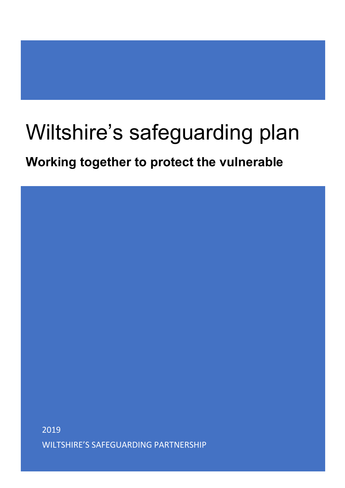# Wiltshire's safeguarding plan

**Working together to protect the vulnerable**

2019 WILTSHIRE'S SAFEGUARDING PARTNERSHIP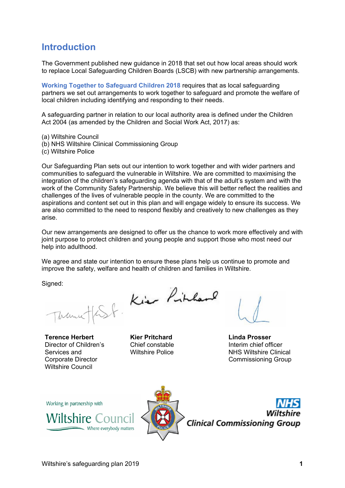#### **Introduction**

The Government published new guidance in 2018 that set out how local areas should work to replace Local Safeguarding Children Boards (LSCB) with new partnership arrangements.

**[Working Together to Safeguard Children 2018](https://assets.publishing.service.gov.uk/government/uploads/system/uploads/attachment_data/file/729914/Working_Together_to_Safeguard_Children-2018.pdf)** requires that as local safeguarding partners we set out arrangements to work together to safeguard and promote the welfare of local children including identifying and responding to their needs.

A safeguarding partner in relation to our local authority area is defined under the Children Act 2004 (as amended by the Children and Social Work Act, 2017) as:

(a) Wiltshire Council

- (b) NHS Wiltshire Clinical Commissioning Group
- (c) Wiltshire Police

Our Safeguarding Plan sets out our intention to work together and with wider partners and communities to safeguard the vulnerable in Wiltshire. We are committed to maximising the integration of the children's safeguarding agenda with that of the adult's system and with the work of the Community Safety Partnership. We believe this will better reflect the realities and challenges of the lives of vulnerable people in the county. We are committed to the aspirations and content set out in this plan and will engage widely to ensure its success. We are also committed to the need to respond flexibly and creatively to new challenges as they arise.

Our new arrangements are designed to offer us the chance to work more effectively and with joint purpose to protect children and young people and support those who most need our help into adulthood.

We agree and state our intention to ensure these plans help us continue to promote and improve the safety, welfare and health of children and families in Wiltshire.

Signed:

Trance

**Terence Herbert**  Director of Children's Services and Corporate Director Wiltshire Council



**Kier Pritchard** Chief constable Wiltshire Police

**Linda Prosser**  Interim chief officer NHS Wiltshire Clinical Commissioning Group

Working in partnership with





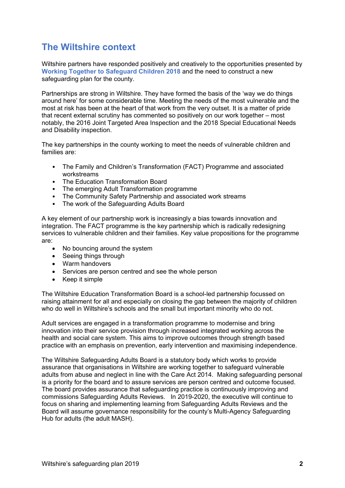## **The Wiltshire context**

Wiltshire partners have responded positively and creatively to the opportunities presented by **[Working Together to Safeguard Children 2018](https://assets.publishing.service.gov.uk/government/uploads/system/uploads/attachment_data/file/729914/Working_Together_to_Safeguard_Children-2018.pdf)** and the need to construct a new safeguarding plan for the county.

Partnerships are strong in Wiltshire. They have formed the basis of the 'way we do things around here' for some considerable time. Meeting the needs of the most vulnerable and the most at risk has been at the heart of that work from the very outset. It is a matter of pride that recent external scrutiny has commented so positively on our work together – most notably, the 2016 Joint Targeted Area Inspection and the 2018 Special Educational Needs and Disability inspection.

The key partnerships in the county working to meet the needs of vulnerable children and families are:

- The Family and Children's Transformation (FACT) Programme and associated workstreams
- The Education Transformation Board
- The emerging Adult Transformation programme
- The Community Safety Partnership and associated work streams
- The work of the Safeguarding Adults Board

A key element of our partnership work is increasingly a bias towards innovation and integration. The FACT programme is the key partnership which is radically redesigning services to vulnerable children and their families. Key value propositions for the programme are:

- No bouncing around the system
- Seeing things through
- Warm handovers
- Services are person centred and see the whole person
- Keep it simple

The Wiltshire Education Transformation Board is a school-led partnership focussed on raising attainment for all and especially on closing the gap between the majority of children who do well in Wiltshire's schools and the small but important minority who do not.

Adult services are engaged in a transformation programme to modernise and bring innovation into their service provision through increased integrated working across the health and social care system. This aims to improve outcomes through strength based practice with an emphasis on prevention, early intervention and maximising independence.

The Wiltshire Safeguarding Adults Board is a statutory body which works to provide assurance that organisations in Wiltshire are working together to safeguard vulnerable adults from abuse and neglect in line with the Care Act 2014. Making safeguarding personal is a priority for the board and to assure services are person centred and outcome focused. The board provides assurance that safeguarding practice is continuously improving and commissions Safeguarding Adults Reviews. In 2019-2020, the executive will continue to focus on sharing and implementing learning from Safeguarding Adults Reviews and the Board will assume governance responsibility for the county's Multi-Agency Safeguarding Hub for adults (the adult MASH).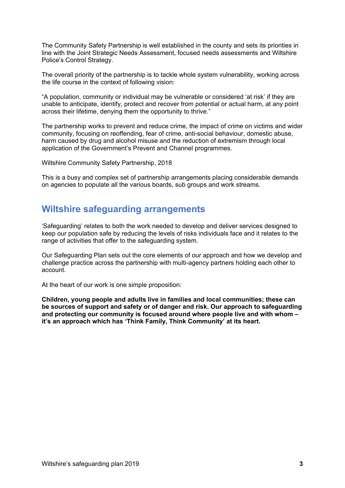The Community Safety Partnership is well established in the county and sets its priorities in line with the Joint Strategic Needs Assessment, focused needs assessments and Wiltshire Police's Control Strategy.

The overall priority of the partnership is to tackle whole system vulnerability, working across the life course in the context of following vision:

"A population, community or individual may be vulnerable or considered 'at risk' if they are unable to anticipate, identify, protect and recover from potential or actual harm, at any point across their lifetime, denying them the opportunity to thrive."

The partnership works to prevent and reduce crime, the impact of crime on victims and wider community, focusing on reoffending, fear of crime, anti-social behaviour, domestic abuse, harm caused by drug and alcohol misuse and the reduction of extremism through local application of the Government's Prevent and Channel programmes.

Wiltshire Community Safety Partnership, 2018

This is a busy and complex set of partnership arrangements placing considerable demands on agencies to populate all the various boards, sub groups and work streams.

#### **Wiltshire safeguarding arrangements**

'Safeguarding' relates to both the work needed to develop and deliver services designed to keep our population safe by reducing the levels of risks individuals face and it relates to the range of activities that offer to the safeguarding system.

Our Safeguarding Plan sets out the core elements of our approach and how we develop and challenge practice across the partnership with multi-agency partners holding each other to account.

At the heart of our work is one simple proposition:

**Children, young people and adults live in families and local communities; these can be sources of support and safety or of danger and risk. Our approach to safeguarding and protecting our community is focused around where people live and with whom – it's an approach which has 'Think Family, Think Community' at its heart.**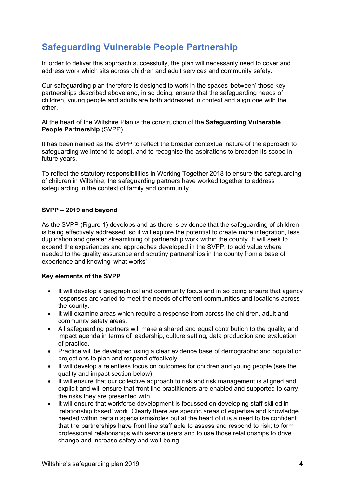# **Safeguarding Vulnerable People Partnership**

In order to deliver this approach successfully, the plan will necessarily need to cover and address work which sits across children and adult services and community safety.

Our safeguarding plan therefore is designed to work in the spaces 'between' those key partnerships described above and, in so doing, ensure that the safeguarding needs of children, young people and adults are both addressed in context and align one with the other.

At the heart of the Wiltshire Plan is the construction of the **Safeguarding Vulnerable People Partnership** (SVPP).

It has been named as the SVPP to reflect the broader contextual nature of the approach to safeguarding we intend to adopt, and to recognise the aspirations to broaden its scope in future years.

To reflect the statutory responsibilities in Working Together 2018 to ensure the safeguarding of children in Wiltshire, the safeguarding partners have worked together to address safeguarding in the context of family and community.

#### **SVPP – 2019 and beyond**

As the SVPP (Figure 1) develops and as there is evidence that the safeguarding of children is being effectively addressed, so it will explore the potential to create more integration, less duplication and greater streamlining of partnership work within the county. It will seek to expand the experiences and approaches developed in the SVPP, to add value where needed to the quality assurance and scrutiny partnerships in the county from a base of experience and knowing 'what works'

#### **Key elements of the SVPP**

- It will develop a geographical and community focus and in so doing ensure that agency responses are varied to meet the needs of different communities and locations across the county.
- It will examine areas which require a response from across the children, adult and community safety areas.
- All safeguarding partners will make a shared and equal contribution to the quality and impact agenda in terms of leadership, culture setting, data production and evaluation of practice.
- Practice will be developed using a clear evidence base of demographic and population projections to plan and respond effectively.
- It will develop a relentless focus on outcomes for children and young people (see the quality and impact section below).
- It will ensure that our collective approach to risk and risk management is aligned and explicit and will ensure that front line practitioners are enabled and supported to carry the risks they are presented with.
- It will ensure that workforce development is focussed on developing staff skilled in 'relationship based' work. Clearly there are specific areas of expertise and knowledge needed within certain specialisms/roles but at the heart of it is a need to be confident that the partnerships have front line staff able to assess and respond to risk; to form professional relationships with service users and to use those relationships to drive change and increase safety and well-being.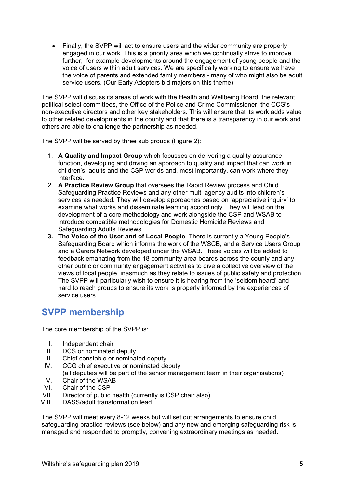• Finally, the SVPP will act to ensure users and the wider community are properly engaged in our work. This is a priority area which we continually strive to improve further; for example developments around the engagement of young people and the voice of users within adult services. We are specifically working to ensure we have the voice of parents and extended family members - many of who might also be adult service users. (Our Early Adopters bid majors on this theme).

The SVPP will discuss its areas of work with the Health and Wellbeing Board, the relevant political select committees, the Office of the Police and Crime Commissioner, the CCG's non-executive directors and other key stakeholders. This will ensure that its work adds value to other related developments in the county and that there is a transparency in our work and others are able to challenge the partnership as needed.

The SVPP will be served by three sub groups (Figure 2):

- 1. **A Quality and Impact Group** which focusses on delivering a quality assurance function, developing and driving an approach to quality and impact that can work in children's, adults and the CSP worlds and, most importantly, can work where they interface.
- 2. **A Practice Review Group** that oversees the Rapid Review process and Child Safeguarding Practice Reviews and any other multi agency audits into children's services as needed. They will develop approaches based on 'appreciative inquiry' to examine what works and disseminate learning accordingly. They will lead on the development of a core methodology and work alongside the CSP and WSAB to introduce compatible methodologies for Domestic Homicide Reviews and Safeguarding Adults Reviews.
- **3. The Voice of the User and of Local People**. There is currently a Young People's Safeguarding Board which informs the work of the WSCB, and a Service Users Group and a Carers Network developed under the WSAB. These voices will be added to feedback emanating from the 18 community area boards across the county and any other public or community engagement activities to give a collective overview of the views of local people inasmuch as they relate to issues of public safety and protection. The SVPP will particularly wish to ensure it is hearing from the 'seldom heard' and hard to reach groups to ensure its work is properly informed by the experiences of service users.

## **SVPP membership**

The core membership of the SVPP is:

- I. Independent chair
- II. DCS or nominated deputy
- III. Chief constable or nominated deputy<br>IV. CCG chief executive or nominated de
- CCG chief executive or nominated deputy (all deputies will be part of the senior management team in their organisations)
- V. Chair of the WSAB
- VI. Chair of the CSP<br>VII. Director of public
- VII. Director of public health (currently is CSP chair also)<br>VIII DASS/adult transformation lead
- DASS/adult transformation lead

The SVPP will meet every 8-12 weeks but will set out arrangements to ensure child safeguarding practice reviews (see below) and any new and emerging safeguarding risk is managed and responded to promptly, convening extraordinary meetings as needed.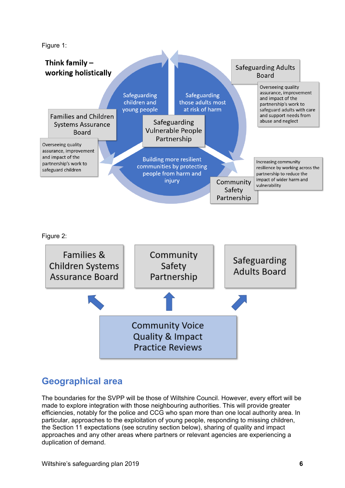Figure 1:



## **Geographical area**

The boundaries for the SVPP will be those of Wiltshire Council. However, every effort will be made to explore integration with those neighbouring authorities. This will provide greater efficiencies, notably for the police and CCG who span more than one local authority area. In particular, approaches to the exploitation of young people, responding to missing children, the Section 11 expectations (see scrutiny section below), sharing of quality and impact approaches and any other areas where partners or relevant agencies are experiencing a duplication of demand.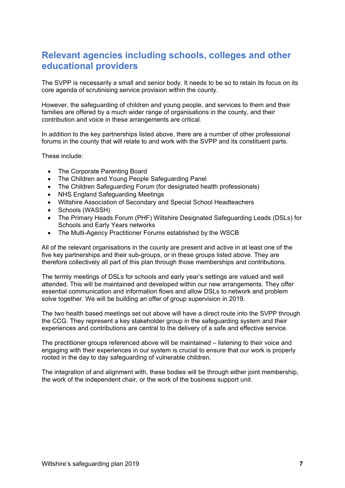## **Relevant agencies including schools, colleges and other educational providers**

The SVPP is necessarily a small and senior body. It needs to be so to retain its focus on its core agenda of scrutinising service provision within the county.

However, the safeguarding of children and young people, and services to them and their families are offered by a much wider range of organisations in the county, and their contribution and voice in these arrangements are critical.

In addition to the key partnerships listed above, there are a number of other professional forums in the county that will relate to and work with the SVPP and its constituent parts.

These include:

- The Corporate Parenting Board
- The Children and Young People Safeguarding Panel
- The Children Safeguarding Forum (for designated health professionals)
- NHS England Safeguarding Meetings
- Wiltshire Association of Secondary and Special School Headteachers
- Schools (WASSH)
- The Primary Heads Forum (PHF) Wiltshire Designated Safeguarding Leads (DSLs) for Schools and Early Years networks
- The Multi-Agency Practitioner Forums established by the WSCB

All of the relevant organisations in the county are present and active in at least one of the five key partnerships and their sub-groups, or in these groups listed above. They are therefore collectively all part of this plan through those memberships and contributions.

The termly meetings of DSLs for schools and early year's settings are valued and well attended. This will be maintained and developed within our new arrangements. They offer essential communication and information flows and allow DSLs to network and problem solve together. We will be building an offer of group supervision in 2019.

The two health based meetings set out above will have a direct route into the SVPP through the CCG. They represent a key stakeholder group in the safeguarding system and their experiences and contributions are central to the delivery of a safe and effective service.

The practitioner groups referenced above will be maintained – listening to their voice and engaging with their experiences in our system is crucial to ensure that our work is properly rooted in the day to day safeguarding of vulnerable children.

The integration of and alignment with, these bodies will be through either joint membership, the work of the independent chair, or the work of the business support unit.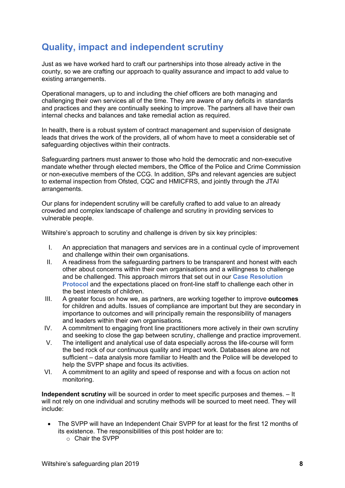# **Quality, impact and independent scrutiny**

Just as we have worked hard to craft our partnerships into those already active in the county, so we are crafting our approach to quality assurance and impact to add value to existing arrangements.

Operational managers, up to and including the chief officers are both managing and challenging their own services all of the time. They are aware of any deficits in standards and practices and they are continually seeking to improve. The partners all have their own internal checks and balances and take remedial action as required.

In health, there is a robust system of contract management and supervision of designate leads that drives the work of the providers, all of whom have to meet a considerable set of safeguarding objectives within their contracts.

Safeguarding partners must answer to those who hold the democratic and non-executive mandate whether through elected members, the Office of the Police and Crime Commission or non-executive members of the CCG. In addition, SPs and relevant agencies are subject to external inspection from Ofsted, CQC and HMICFRS, and jointly through the JTAI arrangements.

Our plans for independent scrutiny will be carefully crafted to add value to an already crowded and complex landscape of challenge and scrutiny in providing services to vulnerable people.

Wiltshire's approach to scrutiny and challenge is driven by six key principles:

- I. An appreciation that managers and services are in a continual cycle of improvement and challenge within their own organisations.
- II. A readiness from the safeguarding partners to be transparent and honest with each other about concerns within their own organisations and a willingness to challenge and be challenged. This approach mirrors that set out in our **[Case Resolution](http://www.wiltshirescb.org.uk/news/wscb-case-resolution-protocol-18/)  [Protocol](http://www.wiltshirescb.org.uk/news/wscb-case-resolution-protocol-18/)** and the expectations placed on front-line staff to challenge each other in the best interests of children.
- III. A greater focus on how we, as partners, are working together to improve **outcomes**  for children and adults. Issues of compliance are important but they are secondary in importance to outcomes and will principally remain the responsibility of managers and leaders within their own organisations.
- IV. A commitment to engaging front line practitioners more actively in their own scrutiny and seeking to close the gap between scrutiny, challenge and practice improvement.
- V. The intelligent and analytical use of data especially across the life-course will form the bed rock of our continuous quality and impact work. Databases alone are not sufficient – data analysis more familiar to Health and the Police will be developed to help the SVPP shape and focus its activities.
- VI. A commitment to an agility and speed of response and with a focus on action not monitoring.

**Independent scrutiny** will be sourced in order to meet specific purposes and themes. – It will not rely on one individual and scrutiny methods will be sourced to meet need. They will include:

- The SVPP will have an Independent Chair SVPP for at least for the first 12 months of its existence. The responsibilities of this post holder are to:
	- o Chair the SVPP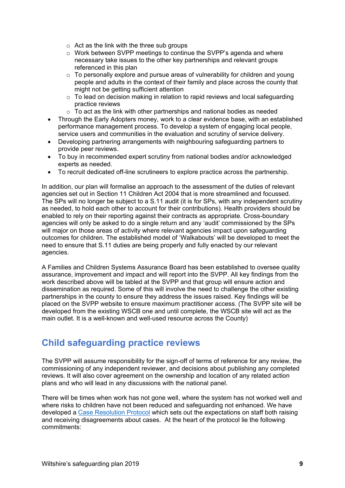- $\circ$  Act as the link with the three sub groups
- $\circ$  Work between SVPP meetings to continue the SVPP's agenda and where necessary take issues to the other key partnerships and relevant groups referenced in this plan
- $\circ$  To personally explore and pursue areas of vulnerability for children and young people and adults in the context of their family and place across the county that might not be getting sufficient attention
- $\circ$  To lead on decision making in relation to rapid reviews and local safeguarding practice reviews
- $\circ$  To act as the link with other partnerships and national bodies as needed
- Through the Early Adopters money, work to a clear evidence base, with an established performance management process. To develop a system of engaging local people, service users and communities in the evaluation and scrutiny of service delivery.
- Developing partnering arrangements with neighbouring safeguarding partners to provide peer reviews.
- To buy in recommended expert scrutiny from national bodies and/or acknowledged experts as needed.
- To recruit dedicated off-line scrutineers to explore practice across the partnership.

In addition, our plan will formalise an approach to the assessment of the duties of relevant agencies set out in Section 11 Children Act 2004 that is more streamlined and focussed. The SPs will no longer be subject to a S.11 audit (it is for SPs, with any independent scrutiny as needed, to hold each other to account for their contributions). Health providers should be enabled to rely on their reporting against their contracts as appropriate. Cross-boundary agencies will only be asked to do a single return and any 'audit' commissioned by the SPs will major on those areas of activity where relevant agencies impact upon safeguarding outcomes for children. The established model of 'Walkabouts' will be developed to meet the need to ensure that S.11 duties are being properly and fully enacted by our relevant agencies.

A Families and Children Systems Assurance Board has been established to oversee quality assurance, improvement and impact and will report into the SVPP. All key findings from the work described above will be tabled at the SVPP and that group will ensure action and dissemination as required. Some of this will involve the need to challenge the other existing partnerships in the county to ensure they address the issues raised. Key findings will be placed on the SVPP website to ensure maximum practitioner access. (The SVPP site will be developed from the existing WSCB one and until complete, the WSCB site will act as the main outlet. It is a well-known and well-used resource across the County)

## **Child safeguarding practice reviews**

The SVPP will assume responsibility for the sign-off of terms of reference for any review, the commissioning of any independent reviewer, and decisions about publishing any completed reviews. It will also cover agreement on the ownership and location of any related action plans and who will lead in any discussions with the national panel.

There will be times when work has not gone well, where the system has not worked well and where risks to children have not been reduced and safeguarding not enhanced. We have developed a [Case Resolution Protocol](http://www.wiltshirescb.org.uk/news/wscb-case-resolution-protocol-18/) which sets out the expectations on staff both raising and receiving disagreements about cases. At the heart of the protocol lie the following commitments: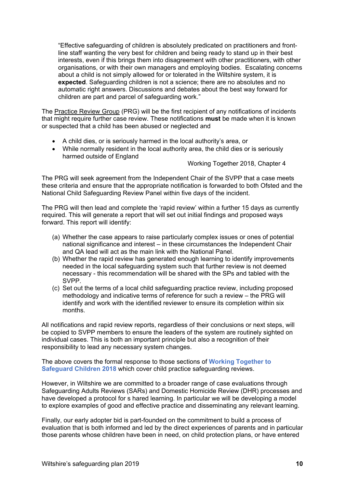"Effective safeguarding of children is absolutely predicated on practitioners and frontline staff wanting the very best for children and being ready to stand up in their best interests, even if this brings them into disagreement with other practitioners, with other organisations, or with their own managers and employing bodies. Escalating concerns about a child is not simply allowed for or tolerated in the Wiltshire system, it is **expected**. Safeguarding children is not a science; there are no absolutes and no automatic right answers. Discussions and debates about the best way forward for children are part and parcel of safeguarding work."

The Practice Review Group (PRG) will be the first recipient of any notifications of incidents that might require further case review. These notifications **must** be made when it is known or suspected that a child has been abused or neglected and

- A child dies, or is seriously harmed in the local authority's area, or
- While normally resident in the local authority area, the child dies or is seriously harmed outside of England

Working Together 2018, Chapter 4

The PRG will seek agreement from the Independent Chair of the SVPP that a case meets these criteria and ensure that the appropriate notification is forwarded to both Ofsted and the National Child Safeguarding Review Panel within five days of the incident.

The PRG will then lead and complete the 'rapid review' within a further 15 days as currently required. This will generate a report that will set out initial findings and proposed ways forward. This report will identify:

- (a) Whether the case appears to raise particularly complex issues or ones of potential national significance and interest – in these circumstances the Independent Chair and QA lead will act as the main link with the National Panel.
- (b) Whether the rapid review has generated enough learning to identify improvements needed in the local safeguarding system such that further review is not deemed necessary - this recommendation will be shared with the SPs and tabled with the SVPP.
- (c) Set out the terms of a local child safeguarding practice review, including proposed methodology and indicative terms of reference for such a review – the PRG will identify and work with the identified reviewer to ensure its completion within six months.

All notifications and rapid review reports, regardless of their conclusions or next steps, will be copied to SVPP members to ensure the leaders of the system are routinely sighted on individual cases. This is both an important principle but also a recognition of their responsibility to lead any necessary system changes.

The above covers the formal response to those sections of **[Working Together to](https://assets.publishing.service.gov.uk/government/uploads/system/uploads/attachment_data/file/729914/Working_Together_to_Safeguard_Children-2018.pdf)  [Safeguard Children 2018](https://assets.publishing.service.gov.uk/government/uploads/system/uploads/attachment_data/file/729914/Working_Together_to_Safeguard_Children-2018.pdf)** which cover child practice safeguarding reviews.

However, in Wiltshire we are committed to a broader range of case evaluations through Safeguarding Adults Reviews (SARs) and Domestic Homicide Review (DHR) processes and have developed a protocol for s hared learning. In particular we will be developing a model to explore examples of good and effective practice and disseminating any relevant learning.

Finally, our early adopter bid is part-founded on the commitment to build a process of evaluation that is both informed and led by the direct experiences of parents and in particular those parents whose children have been in need, on child protection plans, or have entered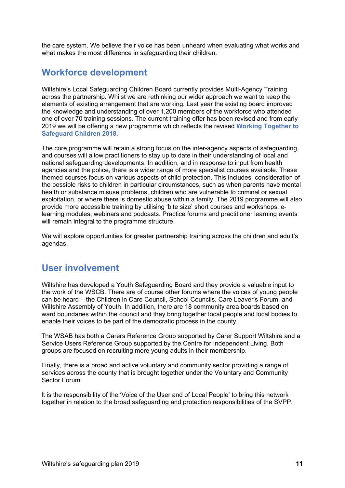the care system. We believe their voice has been unheard when evaluating what works and what makes the most difference in safeguarding their children.

#### **Workforce development**

Wiltshire's Local Safeguarding Children Board currently provides Multi-Agency Training across the partnership. Whilst we are rethinking our wider approach we want to keep the elements of existing arrangement that are working. Last year the existing board improved the knowledge and understanding of over 1,200 members of the workforce who attended one of over 70 training sessions. The current training offer has been revised and from early 2019 we will be offering a new programme which reflects the revised **[Working Together to](https://assets.publishing.service.gov.uk/government/uploads/system/uploads/attachment_data/file/729914/Working_Together_to_Safeguard_Children-2018.pdf)  [Safeguard Children 2018.](https://assets.publishing.service.gov.uk/government/uploads/system/uploads/attachment_data/file/729914/Working_Together_to_Safeguard_Children-2018.pdf)**

The core programme will retain a strong focus on the inter-agency aspects of safeguarding, and courses will allow practitioners to stay up to date in their understanding of local and national safeguarding developments. In addition, and in response to input from health agencies and the police, there is a wider range of more specialist courses available. These themed courses focus on various aspects of child protection. This includes consideration of the possible risks to children in particular circumstances, such as when parents have mental health or substance misuse problems, children who are vulnerable to criminal or sexual exploitation, or where there is domestic abuse within a family. The 2019 programme will also provide more accessible training by utilising 'bite size' short courses and workshops, elearning modules, webinars and podcasts. Practice forums and practitioner learning events will remain integral to the programme structure.

We will explore opportunities for greater partnership training across the children and adult's agendas.

#### **User involvement**

Wiltshire has developed a Youth Safeguarding Board and they provide a valuable input to the work of the WSCB. There are of course other forums where the voices of young people can be heard – the Children in Care Council, School Councils, Care Leaver's Forum, and Wiltshire Assembly of Youth. In addition, there are 18 community area boards based on ward boundaries within the council and they bring together local people and local bodies to enable their voices to be part of the democratic process in the county.

The WSAB has both a Carers Reference Group supported by Carer Support Wiltshire and a Service Users Reference Group supported by the Centre for Independent Living. Both groups are focused on recruiting more young adults in their membership.

Finally, there is a broad and active voluntary and community sector providing a range of services across the county that is brought together under the Voluntary and Community Sector Forum.

It is the responsibility of the 'Voice of the User and of Local People' to bring this network together in relation to the broad safeguarding and protection responsibilities of the SVPP.